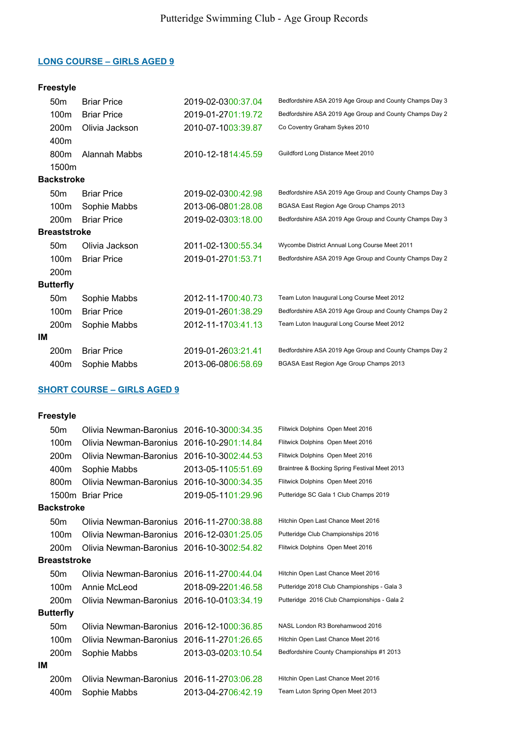# Freestyle

|    | 50 <sub>m</sub>     | <b>Briar Price</b> | 2019-02-0300:37.04 | Bedfordshire ASA 2019 Age Group and County Champs Day 3 |
|----|---------------------|--------------------|--------------------|---------------------------------------------------------|
|    | 100m                | <b>Briar Price</b> | 2019-01-2701:19.72 | Bedfordshire ASA 2019 Age Group and County Champs Day 2 |
|    | 200 <sub>m</sub>    | Olivia Jackson     | 2010-07-1003:39.87 | Co Coventry Graham Sykes 2010                           |
|    | 400m                |                    |                    |                                                         |
|    | 800m                | Alannah Mabbs      | 2010-12-1814:45.59 | Guildford Long Distance Meet 2010                       |
|    | 1500m               |                    |                    |                                                         |
|    | <b>Backstroke</b>   |                    |                    |                                                         |
|    | 50 <sub>m</sub>     | <b>Briar Price</b> | 2019-02-0300:42.98 | Bedfordshire ASA 2019 Age Group and County Champs Day 3 |
|    | 100m                | Sophie Mabbs       | 2013-06-0801:28.08 | BGASA East Region Age Group Champs 2013                 |
|    | 200 <sub>m</sub>    | <b>Briar Price</b> | 2019-02-0303:18.00 | Bedfordshire ASA 2019 Age Group and County Champs Day 3 |
|    | <b>Breaststroke</b> |                    |                    |                                                         |
|    | 50 <sub>m</sub>     | Olivia Jackson     | 2011-02-1300:55.34 | Wycombe District Annual Long Course Meet 2011           |
|    | 100 <sub>m</sub>    | <b>Briar Price</b> | 2019-01-2701:53.71 | Bedfordshire ASA 2019 Age Group and County Champs Day 2 |
|    | 200 <sub>m</sub>    |                    |                    |                                                         |
|    | <b>Butterfly</b>    |                    |                    |                                                         |
|    | 50 <sub>m</sub>     | Sophie Mabbs       | 2012-11-1700:40.73 | Team Luton Inaugural Long Course Meet 2012              |
|    | 100m                | <b>Briar Price</b> | 2019-01-2601:38.29 | Bedfordshire ASA 2019 Age Group and County Champs Day 2 |
|    | 200 <sub>m</sub>    | Sophie Mabbs       | 2012-11-1703:41.13 | Team Luton Inaugural Long Course Meet 2012              |
| IМ |                     |                    |                    |                                                         |
|    | 200m                | <b>Briar Price</b> | 2019-01-2603:21.41 | Bedfordshire ASA 2019 Age Group and County Champs Day 2 |
|    | 400m                | Sophie Mabbs       | 2013-06-0806:58.69 | BGASA East Region Age Group Champs 2013                 |

# SHORT COURSE – GIRLS AGED 9

|    | 50 <sub>m</sub>     | Olivia Newman-Baronius 2016-10-3000:34.35 |                    | Flitwick Dolphins Open Meet 2016              |
|----|---------------------|-------------------------------------------|--------------------|-----------------------------------------------|
|    | 100m                | Olivia Newman-Baronius                    | 2016-10-2901:14.84 | Flitwick Dolphins Open Meet 2016              |
|    | 200 <sub>m</sub>    | Olivia Newman-Baronius                    | 2016-10-3002:44.53 | Flitwick Dolphins Open Meet 2016              |
|    | 400m                | Sophie Mabbs                              | 2013-05-1105:51.69 | Braintree & Bocking Spring Festival Meet 2013 |
|    | 800m                | Olivia Newman-Baronius 2016-10-3000:34.35 |                    | Flitwick Dolphins Open Meet 2016              |
|    |                     | 1500m Briar Price                         | 2019-05-1101:29.96 | Putteridge SC Gala 1 Club Champs 2019         |
|    | <b>Backstroke</b>   |                                           |                    |                                               |
|    | 50 <sub>m</sub>     | Olivia Newman-Baronius 2016-11-2700:38.88 |                    | Hitchin Open Last Chance Meet 2016            |
|    | 100 <sub>m</sub>    | Olivia Newman-Baronius 2016-12-0301:25.05 |                    | Putteridge Club Championships 2016            |
|    | 200 <sub>m</sub>    | Olivia Newman-Baronius 2016-10-3002:54.82 |                    | Flitwick Dolphins Open Meet 2016              |
|    | <b>Breaststroke</b> |                                           |                    |                                               |
|    | 50 <sub>m</sub>     | Olivia Newman-Baronius 2016-11-2700:44.04 |                    | Hitchin Open Last Chance Meet 2016            |
|    | 100m                | Annie McLeod                              | 2018-09-2201:46.58 | Putteridge 2018 Club Championships - Gala 3   |
|    | 200 <sub>m</sub>    | Olivia Newman-Baronius 2016-10-0103:34.19 |                    | Putteridge 2016 Club Championships - Gala 2   |
|    | <b>Butterfly</b>    |                                           |                    |                                               |
|    | 50 <sub>m</sub>     | Olivia Newman-Baronius 2016-12-1000:36.85 |                    | NASL London R3 Borehamwood 2016               |
|    | 100m                | Olivia Newman-Baronius 2016-11-2701:26.65 |                    | Hitchin Open Last Chance Meet 2016            |
|    | 200 <sub>m</sub>    | Sophie Mabbs                              | 2013-03-0203:10.54 | Bedfordshire County Championships #1 2013     |
| IМ |                     |                                           |                    |                                               |
|    | 200 <sub>m</sub>    | Olivia Newman-Baronius 2016-11-2703:06.28 |                    | Hitchin Open Last Chance Meet 2016            |
|    | 400m                | Sophie Mabbs                              | 2013-04-2706:42.19 | Team Luton Spring Open Meet 2013              |
|    |                     |                                           |                    |                                               |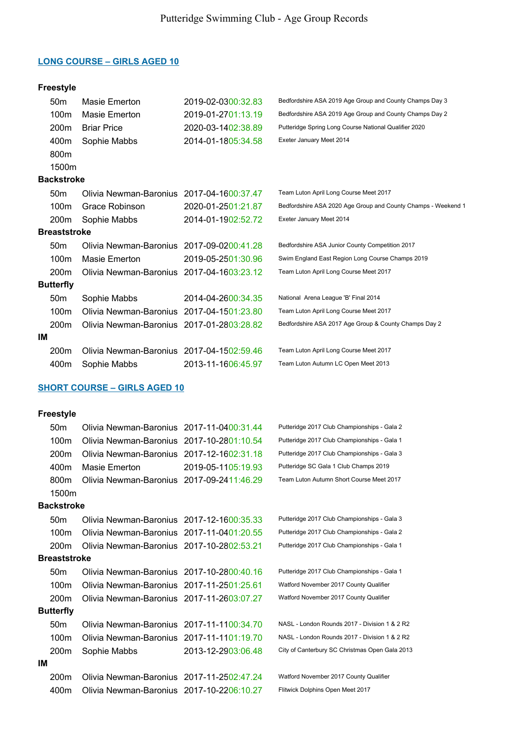### Freestyle

|    | 50 <sub>m</sub>     | Masie Emerton                             | 2019-02-0300:32.83 | Bedfordshire ASA 2019 Age Group and County Champs Day 3       |
|----|---------------------|-------------------------------------------|--------------------|---------------------------------------------------------------|
|    | 100 <sub>m</sub>    | Masie Emerton                             | 2019-01-2701:13.19 | Bedfordshire ASA 2019 Age Group and County Champs Day 2       |
|    | 200 <sub>m</sub>    | <b>Briar Price</b>                        | 2020-03-1402:38.89 | Putteridge Spring Long Course National Qualifier 2020         |
|    | 400m                | Sophie Mabbs                              | 2014-01-1805:34.58 | Exeter January Meet 2014                                      |
|    | 800m                |                                           |                    |                                                               |
|    | 1500m               |                                           |                    |                                                               |
|    | <b>Backstroke</b>   |                                           |                    |                                                               |
|    | 50 <sub>m</sub>     | Olivia Newman-Baronius 2017-04-1600:37.47 |                    | Team Luton April Long Course Meet 2017                        |
|    | 100 <sub>m</sub>    | Grace Robinson                            | 2020-01-2501:21.87 | Bedfordshire ASA 2020 Age Group and County Champs - Weekend 1 |
|    | 200 <sub>m</sub>    | Sophie Mabbs                              | 2014-01-1902:52.72 | Exeter January Meet 2014                                      |
|    | <b>Breaststroke</b> |                                           |                    |                                                               |
|    | 50 <sub>m</sub>     | Olivia Newman-Baronius 2017-09-0200:41.28 |                    | Bedfordshire ASA Junior County Competition 2017               |
|    | 100 <sub>m</sub>    | Masie Emerton                             | 2019-05-2501:30.96 | Swim England East Region Long Course Champs 2019              |
|    | 200 <sub>m</sub>    | Olivia Newman-Baronius 2017-04-1603:23.12 |                    | Team Luton April Long Course Meet 2017                        |
|    | <b>Butterfly</b>    |                                           |                    |                                                               |
|    | 50 <sub>m</sub>     | Sophie Mabbs                              | 2014-04-2600:34.35 | National Arena League 'B' Final 2014                          |
|    | 100 <sub>m</sub>    | Olivia Newman-Baronius 2017-04-1501:23.80 |                    | Team Luton April Long Course Meet 2017                        |
|    | 200 <sub>m</sub>    | Olivia Newman-Baronius 2017-01-2803:28.82 |                    | Bedfordshire ASA 2017 Age Group & County Champs Day 2         |
| IМ |                     |                                           |                    |                                                               |
|    | 200 <sub>m</sub>    | Olivia Newman-Baronius 2017-04-1502:59.46 |                    | Team Luton April Long Course Meet 2017                        |
|    | 400m                | Sophie Mabbs                              | 2013-11-1606:45.97 | Team Luton Autumn LC Open Meet 2013                           |

#### SHORT COURSE – GIRLS AGED 10

|    | 50 <sub>m</sub>     | Olivia Newman-Baronius 2017-11-0400:31.44 |                    | Putteridge 2017 Club Championships - Gala 2    |
|----|---------------------|-------------------------------------------|--------------------|------------------------------------------------|
|    | 100m                | Olivia Newman-Baronius 2017-10-2801:10.54 |                    | Putteridge 2017 Club Championships - Gala 1    |
|    | 200m                | Olivia Newman-Baronius 2017-12-1602:31.18 |                    | Putteridge 2017 Club Championships - Gala 3    |
|    | 400m                | Masie Emerton                             | 2019-05-1105:19.93 | Putteridge SC Gala 1 Club Champs 2019          |
|    | 800 <sub>m</sub>    | Olivia Newman-Baronius 2017-09-2411:46.29 |                    | Team Luton Autumn Short Course Meet 2017       |
|    | 1500m               |                                           |                    |                                                |
|    | <b>Backstroke</b>   |                                           |                    |                                                |
|    | 50 <sub>m</sub>     | Olivia Newman-Baronius 2017-12-1600:35.33 |                    | Putteridge 2017 Club Championships - Gala 3    |
|    | 100m                | Olivia Newman-Baronius 2017-11-0401:20.55 |                    | Putteridge 2017 Club Championships - Gala 2    |
|    | 200 <sub>m</sub>    | Olivia Newman-Baronius 2017-10-2802:53.21 |                    | Putteridge 2017 Club Championships - Gala 1    |
|    | <b>Breaststroke</b> |                                           |                    |                                                |
|    | 50 <sub>m</sub>     | Olivia Newman-Baronius 2017-10-2800:40.16 |                    | Putteridge 2017 Club Championships - Gala 1    |
|    | 100 <sub>m</sub>    | Olivia Newman-Baronius 2017-11-2501:25.61 |                    | Watford November 2017 County Qualifier         |
|    | 200 <sub>m</sub>    | Olivia Newman-Baronius 2017-11-2603:07.27 |                    | Watford November 2017 County Qualifier         |
|    | <b>Butterfly</b>    |                                           |                    |                                                |
|    | 50 <sub>m</sub>     | Olivia Newman-Baronius 2017-11-1100:34.70 |                    | NASL - London Rounds 2017 - Division 1 & 2 R2  |
|    | 100m                | Olivia Newman-Baronius 2017-11-1101:19.70 |                    | NASL - London Rounds 2017 - Division 1 & 2 R2  |
|    | 200 <sub>m</sub>    | Sophie Mabbs                              | 2013-12-2903:06.48 | City of Canterbury SC Christmas Open Gala 2013 |
| IМ |                     |                                           |                    |                                                |
|    | 200 <sub>m</sub>    | Olivia Newman-Baronius 2017-11-2502:47.24 |                    | Watford November 2017 County Qualifier         |
|    | 400m                | Olivia Newman-Baronius 2017-10-2206:10.27 |                    | Flitwick Dolphins Open Meet 2017               |
|    |                     |                                           |                    |                                                |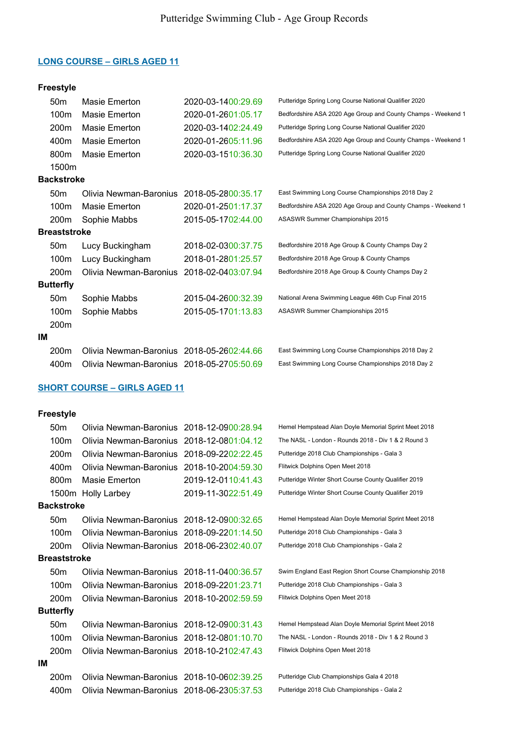# Freestyle

|    | 50 <sub>m</sub>  | Masie Emerton                             | 2020-03-1400:29.69 | Putteridge Spring Long Course National Qualifier 2020         |
|----|------------------|-------------------------------------------|--------------------|---------------------------------------------------------------|
|    | 100m             | Masie Emerton                             | 2020-01-2601:05.17 | Bedfordshire ASA 2020 Age Group and County Champs - Weekend 1 |
|    | 200m             | Masie Emerton                             | 2020-03-1402:24.49 | Putteridge Spring Long Course National Qualifier 2020         |
|    | 400m             | Masie Emerton                             | 2020-01-2605:11.96 | Bedfordshire ASA 2020 Age Group and County Champs - Weekend 1 |
|    | 800 <sub>m</sub> | Masie Emerton                             | 2020-03-1510:36.30 | Putteridge Spring Long Course National Qualifier 2020         |
|    | 1500m            |                                           |                    |                                                               |
|    | Backstroke       |                                           |                    |                                                               |
|    | 50 <sub>m</sub>  | Olivia Newman-Baronius                    | 2018-05-2800:35.17 | East Swimming Long Course Championships 2018 Day 2            |
|    | 100m             | Masie Emerton                             | 2020-01-2501:17.37 | Bedfordshire ASA 2020 Age Group and County Champs - Weekend 1 |
|    | 200 <sub>m</sub> | Sophie Mabbs                              | 2015-05-1702:44.00 | ASASWR Summer Championships 2015                              |
|    | Breaststroke     |                                           |                    |                                                               |
|    | 50 <sub>m</sub>  | Lucy Buckingham                           | 2018-02-0300:37.75 | Bedfordshire 2018 Age Group & County Champs Day 2             |
|    | 100m             | Lucy Buckingham                           | 2018-01-2801:25.57 | Bedfordshire 2018 Age Group & County Champs                   |
|    | 200 <sub>m</sub> | Olivia Newman-Baronius 2018-02-0403:07.94 |                    | Bedfordshire 2018 Age Group & County Champs Day 2             |
|    | <b>Butterfly</b> |                                           |                    |                                                               |
|    | 50 <sub>m</sub>  | Sophie Mabbs                              | 2015-04-2600:32.39 | National Arena Swimming League 46th Cup Final 2015            |
|    | 100m             | Sophie Mabbs                              | 2015-05-1701:13.83 | ASASWR Summer Championships 2015                              |
|    | 200m             |                                           |                    |                                                               |
| ΙM |                  |                                           |                    |                                                               |
|    | 200m             | Olivia Newman-Baronius 2018-05-2602:44.66 |                    | East Swimming Long Course Championships 2018 Day 2            |
|    | 400m             | Olivia Newman-Baronius 2018-05-2705:50.69 |                    | East Swimming Long Course Championships 2018 Day 2            |

# SHORT COURSE – GIRLS AGED 11

|                     | 50 <sub>m</sub>   | Olivia Newman-Baronius 2018-12-0900:28.94 |                    | Hemel Hempstead Alan Doyle Memorial Sprint Meet 2018    |
|---------------------|-------------------|-------------------------------------------|--------------------|---------------------------------------------------------|
|                     | 100m              | Olivia Newman-Baronius                    | 2018-12-0801:04.12 | The NASL - London - Rounds 2018 - Div 1 & 2 Round 3     |
|                     | 200 <sub>m</sub>  | Olivia Newman-Baronius                    | 2018-09-2202:22.45 | Putteridge 2018 Club Championships - Gala 3             |
|                     | 400m              | Olivia Newman-Baronius                    | 2018-10-2004:59.30 | Flitwick Dolphins Open Meet 2018                        |
|                     | 800m              | Masie Emerton                             | 2019-12-0110:41.43 | Putteridge Winter Short Course County Qualifier 2019    |
|                     |                   | 1500m Holly Larbey                        | 2019-11-3022:51.49 | Putteridge Winter Short Course County Qualifier 2019    |
|                     | <b>Backstroke</b> |                                           |                    |                                                         |
|                     | 50 <sub>m</sub>   | Olivia Newman-Baronius 2018-12-0900:32.65 |                    | Hemel Hempstead Alan Doyle Memorial Sprint Meet 2018    |
|                     | 100m              | Olivia Newman-Baronius 2018-09-2201:14.50 |                    | Putteridge 2018 Club Championships - Gala 3             |
|                     | 200 <sub>m</sub>  | Olivia Newman-Baronius 2018-06-2302:40.07 |                    | Putteridge 2018 Club Championships - Gala 2             |
| <b>Breaststroke</b> |                   |                                           |                    |                                                         |
|                     | 50 <sub>m</sub>   | Olivia Newman-Baronius 2018-11-0400:36.57 |                    | Swim England East Region Short Course Championship 2018 |
|                     | 100 <sub>m</sub>  | Olivia Newman-Baronius 2018-09-2201:23.71 |                    | Putteridge 2018 Club Championships - Gala 3             |
|                     | 200 <sub>m</sub>  | Olivia Newman-Baronius 2018-10-2002:59.59 |                    | Flitwick Dolphins Open Meet 2018                        |
|                     | <b>Butterfly</b>  |                                           |                    |                                                         |
|                     | 50 <sub>m</sub>   | Olivia Newman-Baronius 2018-12-0900:31.43 |                    | Hemel Hempstead Alan Doyle Memorial Sprint Meet 2018    |
|                     | 100m              | Olivia Newman-Baronius 2018-12-0801:10.70 |                    | The NASL - London - Rounds 2018 - Div 1 & 2 Round 3     |
|                     | 200 <sub>m</sub>  | Olivia Newman-Baronius 2018-10-2102:47.43 |                    | Flitwick Dolphins Open Meet 2018                        |
| IΜ                  |                   |                                           |                    |                                                         |
|                     | 200 <sub>m</sub>  | Olivia Newman-Baronius 2018-10-0602:39.25 |                    | Putteridge Club Championships Gala 4 2018               |
|                     | 400m              | Olivia Newman-Baronius 2018-06-2305:37.53 |                    | Putteridge 2018 Club Championships - Gala 2             |
|                     |                   |                                           |                    |                                                         |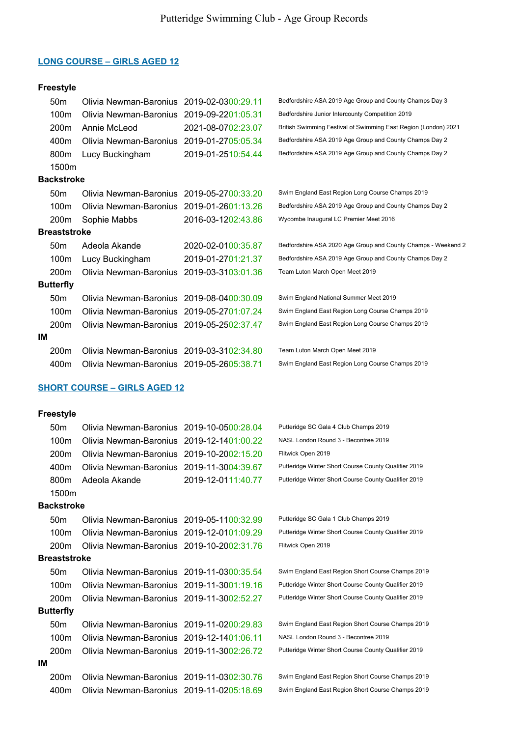# Freestyle

|     | 50 <sub>m</sub>     | Olivia Newman-Baronius                    | 2019-02-0300:29.11 | Bedfordshire ASA 2019 Age Group and County Champs Day 3         |
|-----|---------------------|-------------------------------------------|--------------------|-----------------------------------------------------------------|
|     | 100m                | Olivia Newman-Baronius 2019-09-2201:05.31 |                    | Bedfordshire Junior Intercounty Competition 2019                |
|     | 200 <sub>m</sub>    | Annie McLeod                              | 2021-08-0702:23.07 | British Swimming Festival of Swimming East Region (London) 2021 |
|     | 400m                | Olivia Newman-Baronius                    | 2019-01-2705:05.34 | Bedfordshire ASA 2019 Age Group and County Champs Day 2         |
|     | 800m                | Lucy Buckingham                           | 2019-01-2510:54.44 | Bedfordshire ASA 2019 Age Group and County Champs Day 2         |
|     | 1500m               |                                           |                    |                                                                 |
|     | <b>Backstroke</b>   |                                           |                    |                                                                 |
|     | 50 <sub>m</sub>     | Olivia Newman-Baronius 2019-05-2700:33.20 |                    | Swim England East Region Long Course Champs 2019                |
|     | 100 <sub>m</sub>    | Olivia Newman-Baronius 2019-01-2601:13.26 |                    | Bedfordshire ASA 2019 Age Group and County Champs Day 2         |
|     | 200 <sub>m</sub>    | Sophie Mabbs                              | 2016-03-1202:43.86 | Wycombe Inaugural LC Premier Meet 2016                          |
|     | <b>Breaststroke</b> |                                           |                    |                                                                 |
|     | 50 <sub>m</sub>     | Adeola Akande                             | 2020-02-0100:35.87 | Bedfordshire ASA 2020 Age Group and County Champs - Weekend 2   |
|     | 100m                | Lucy Buckingham                           | 2019-01-2701:21.37 | Bedfordshire ASA 2019 Age Group and County Champs Day 2         |
|     | 200 <sub>m</sub>    | Olivia Newman-Baronius 2019-03-3103:01.36 |                    | Team Luton March Open Meet 2019                                 |
|     | <b>Butterfly</b>    |                                           |                    |                                                                 |
|     | 50 <sub>m</sub>     | Olivia Newman-Baronius 2019-08-0400:30.09 |                    | Swim England National Summer Meet 2019                          |
|     | 100m                | Olivia Newman-Baronius 2019-05-2701:07.24 |                    | Swim England East Region Long Course Champs 2019                |
|     | 200 <sub>m</sub>    | Olivia Newman-Baronius 2019-05-2502:37.47 |                    | Swim England East Region Long Course Champs 2019                |
| IM. |                     |                                           |                    |                                                                 |
|     | 200 <sub>m</sub>    | Olivia Newman-Baronius 2019-03-3102:34.80 |                    | Team Luton March Open Meet 2019                                 |
|     | 400m                | Olivia Newman-Baronius 2019-05-2605:38.71 |                    | Swim England East Region Long Course Champs 2019                |

### SHORT COURSE – GIRLS AGED 12

|    | 50 <sub>m</sub>     | Olivia Newman-Baronius 2019-10-0500:28.04 |                    | Putteridge SC Gala 4 Club Champs 2019                |
|----|---------------------|-------------------------------------------|--------------------|------------------------------------------------------|
|    | 100 <sub>m</sub>    | Olivia Newman-Baronius 2019-12-1401:00.22 |                    | NASL London Round 3 - Becontree 2019                 |
|    | 200 <sub>m</sub>    | Olivia Newman-Baronius 2019-10-2002:15.20 |                    | Flitwick Open 2019                                   |
|    | 400m                | Olivia Newman-Baronius 2019-11-3004:39.67 |                    | Putteridge Winter Short Course County Qualifier 2019 |
|    | 800m                | Adeola Akande                             | 2019-12-0111:40.77 | Putteridge Winter Short Course County Qualifier 2019 |
|    | 1500m               |                                           |                    |                                                      |
|    | <b>Backstroke</b>   |                                           |                    |                                                      |
|    | 50 <sub>m</sub>     | Olivia Newman-Baronius 2019-05-1100:32.99 |                    | Putteridge SC Gala 1 Club Champs 2019                |
|    | 100m                | Olivia Newman-Baronius 2019-12-0101:09.29 |                    | Putteridge Winter Short Course County Qualifier 2019 |
|    | 200 <sub>m</sub>    | Olivia Newman-Baronius 2019-10-2002:31.76 |                    | Flitwick Open 2019                                   |
|    | <b>Breaststroke</b> |                                           |                    |                                                      |
|    | 50 <sub>m</sub>     | Olivia Newman-Baronius 2019-11-0300:35.54 |                    | Swim England East Region Short Course Champs 2019    |
|    | 100 <sub>m</sub>    | Olivia Newman-Baronius 2019-11-3001:19.16 |                    | Putteridge Winter Short Course County Qualifier 2019 |
|    | 200 <sub>m</sub>    | Olivia Newman-Baronius 2019-11-3002:52.27 |                    | Putteridge Winter Short Course County Qualifier 2019 |
|    | <b>Butterfly</b>    |                                           |                    |                                                      |
|    | 50 <sub>m</sub>     | Olivia Newman-Baronius 2019-11-0200:29.83 |                    | Swim England East Region Short Course Champs 2019    |
|    | 100 <sub>m</sub>    | Olivia Newman-Baronius 2019-12-1401:06.11 |                    | NASL London Round 3 - Becontree 2019                 |
|    | 200 <sub>m</sub>    | Olivia Newman-Baronius 2019-11-3002:26.72 |                    | Putteridge Winter Short Course County Qualifier 2019 |
| IM |                     |                                           |                    |                                                      |
|    | 200 <sub>m</sub>    | Olivia Newman-Baronius 2019-11-0302:30.76 |                    | Swim England East Region Short Course Champs 2019    |
|    | 400m                | Olivia Newman-Baronius 2019-11-0205:18.69 |                    | Swim England East Region Short Course Champs 2019    |
|    |                     |                                           |                    |                                                      |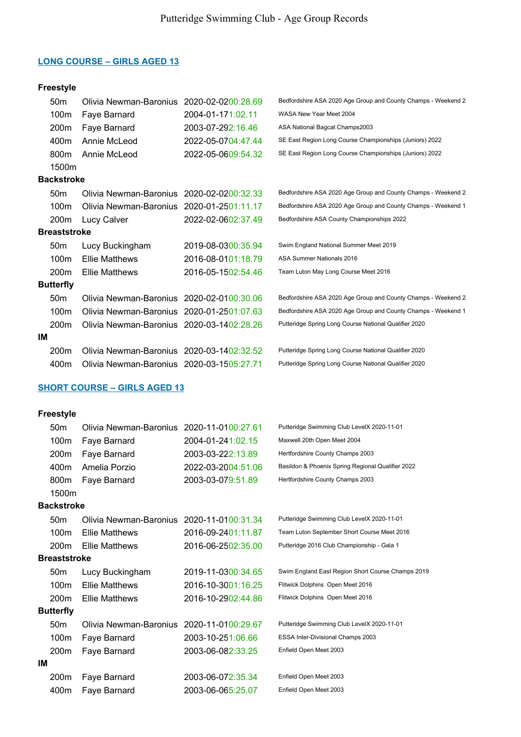# Freestyle

|    | 50 <sub>m</sub>     | Olivia Newman-Baronius                    | 2020-02-0200:28.69 | Bedfordshire ASA 2020 Age Group and County Champs - Weekend 2 |
|----|---------------------|-------------------------------------------|--------------------|---------------------------------------------------------------|
|    | 100m                | Faye Barnard                              | 2004-01-171:02.11  | WASA New Year Meet 2004                                       |
|    | 200m                | Faye Barnard                              | 2003-07-292:16.46  | ASA National Bagcat Champs2003                                |
|    | 400m                | Annie McLeod                              | 2022-05-0704:47.44 | SE East Region Long Course Championships (Juniors) 2022       |
|    | 800m                | Annie McLeod                              | 2022-05-0609:54.32 | SE East Region Long Course Championships (Juniors) 2022       |
|    | 1500m               |                                           |                    |                                                               |
|    | <b>Backstroke</b>   |                                           |                    |                                                               |
|    | 50 <sub>m</sub>     | Olivia Newman-Baronius                    | 2020-02-0200:32.33 | Bedfordshire ASA 2020 Age Group and County Champs - Weekend 2 |
|    | 100m                | Olivia Newman-Baronius 2020-01-2501:11.17 |                    | Bedfordshire ASA 2020 Age Group and County Champs - Weekend 1 |
|    | 200m                | Lucy Calver                               | 2022-02-0602:37.49 | Bedfordshire ASA County Championships 2022                    |
|    | <b>Breaststroke</b> |                                           |                    |                                                               |
|    | 50 <sub>m</sub>     | Lucy Buckingham                           | 2019-08-0300:35.94 | Swim England National Summer Meet 2019                        |
|    | 100m                | <b>Ellie Matthews</b>                     | 2016-08-0101:18.79 | ASA Summer Nationals 2016                                     |
|    | 200 <sub>m</sub>    | <b>Ellie Matthews</b>                     | 2016-05-1502:54.46 | Team Luton May Long Course Meet 2016                          |
|    | <b>Butterfly</b>    |                                           |                    |                                                               |
|    | 50 <sub>m</sub>     | Olivia Newman-Baronius 2020-02-0100:30.06 |                    | Bedfordshire ASA 2020 Age Group and County Champs - Weekend 2 |
|    | 100m                | Olivia Newman-Baronius 2020-01-2501:07.63 |                    | Bedfordshire ASA 2020 Age Group and County Champs - Weekend 1 |
|    | 200 <sub>m</sub>    | Olivia Newman-Baronius 2020-03-1402:28.26 |                    | Putteridge Spring Long Course National Qualifier 2020         |
| ΙM |                     |                                           |                    |                                                               |
|    | 200 <sub>m</sub>    | Olivia Newman-Baronius 2020-03-1402:32.52 |                    | Putteridge Spring Long Course National Qualifier 2020         |
|    | 400m                | Olivia Newman-Baronius 2020-03-1505:27.71 |                    | Putteridge Spring Long Course National Qualifier 2020         |

# SHORT COURSE – GIRLS AGED 13

|    | 50 <sub>m</sub>     | Olivia Newman-Baronius | 2020-11-0100:27.61 | Putteridge Swimming Club LevelX 2020-11-01        |
|----|---------------------|------------------------|--------------------|---------------------------------------------------|
|    | 100m                | Faye Barnard           | 2004-01-241:02.15  | Maxwell 20th Open Meet 2004                       |
|    | 200 <sub>m</sub>    | Faye Barnard           | 2003-03-222:13.89  | Hertfordshire County Champs 2003                  |
|    | 400m                | Amelia Porzio          | 2022-03-2004:51.06 | Basildon & Phoenix Spring Regional Qualifier 2022 |
|    | 800m                | Faye Barnard           | 2003-03-079:51.89  | Hertfordshire County Champs 2003                  |
|    | 1500m               |                        |                    |                                                   |
|    | <b>Backstroke</b>   |                        |                    |                                                   |
|    | 50 <sub>m</sub>     | Olivia Newman-Baronius | 2020-11-0100:31.34 | Putteridge Swimming Club LevelX 2020-11-01        |
|    | 100m                | <b>Ellie Matthews</b>  | 2016-09-2401:11.87 | Team Luton September Short Course Meet 2016       |
|    | 200m                | <b>Ellie Matthews</b>  | 2016-06-2502:35.00 | Putteridge 2016 Club Championship - Gala 1        |
|    | <b>Breaststroke</b> |                        |                    |                                                   |
|    | 50 <sub>m</sub>     | Lucy Buckingham        | 2019-11-0300:34.65 | Swim England East Region Short Course Champs 2019 |
|    | 100m                | <b>Ellie Matthews</b>  | 2016-10-3001:16.25 | Flitwick Dolphins Open Meet 2016                  |
|    | 200 <sub>m</sub>    | <b>Ellie Matthews</b>  | 2016-10-2902:44.86 | Flitwick Dolphins Open Meet 2016                  |
|    | <b>Butterfly</b>    |                        |                    |                                                   |
|    | 50 <sub>m</sub>     | Olivia Newman-Baronius | 2020-11-0100:29.67 | Putteridge Swimming Club LevelX 2020-11-01        |
|    | 100m                | Faye Barnard           | 2003-10-251:06.66  | ESSA Inter-Divisional Champs 2003                 |
|    | 200m                | Faye Barnard           | 2003-06-082:33.25  | Enfield Open Meet 2003                            |
| ΙM |                     |                        |                    |                                                   |
|    | 200m                | Faye Barnard           | 2003-06-072:35.34  | Enfield Open Meet 2003                            |
|    | 400m                | Faye Barnard           | 2003-06-065:25.07  | Enfield Open Meet 2003                            |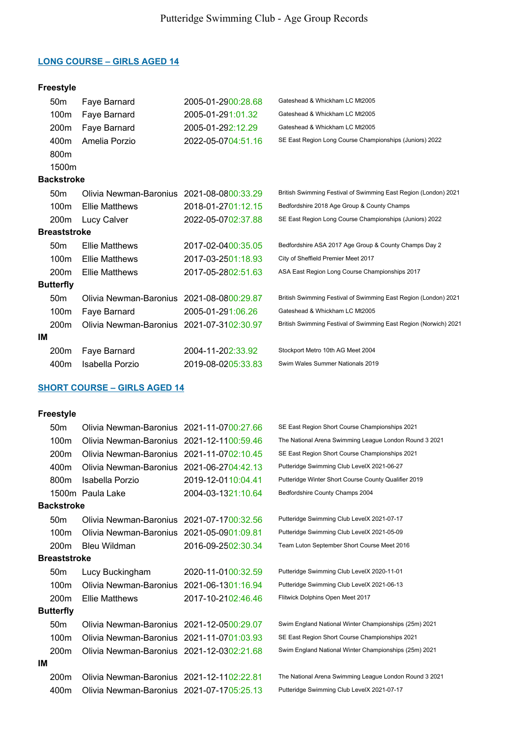# Freestyle

|                     | 50 <sub>m</sub>   | Faye Barnard           | 2005-01-2900:28.68 | Gateshead & Whickham LC Mt2005                                   |
|---------------------|-------------------|------------------------|--------------------|------------------------------------------------------------------|
|                     | 100m              | Faye Barnard           | 2005-01-291:01.32  | Gateshead & Whickham LC Mt2005                                   |
|                     | 200m              | Faye Barnard           | 2005-01-292:12.29  | Gateshead & Whickham LC Mt2005                                   |
|                     | 400m              | Amelia Porzio          | 2022-05-0704:51.16 | SE East Region Long Course Championships (Juniors) 2022          |
|                     | 800m              |                        |                    |                                                                  |
|                     | 1500m             |                        |                    |                                                                  |
|                     | <b>Backstroke</b> |                        |                    |                                                                  |
|                     | 50 <sub>m</sub>   | Olivia Newman-Baronius | 2021-08-0800:33.29 | British Swimming Festival of Swimming East Region (London) 2021  |
|                     | 100m              | <b>Ellie Matthews</b>  | 2018-01-2701:12.15 | Bedfordshire 2018 Age Group & County Champs                      |
|                     | 200 <sub>m</sub>  | Lucy Calver            | 2022-05-0702:37.88 | SE East Region Long Course Championships (Juniors) 2022          |
| <b>Breaststroke</b> |                   |                        |                    |                                                                  |
|                     | 50 <sub>m</sub>   | <b>Ellie Matthews</b>  | 2017-02-0400:35.05 | Bedfordshire ASA 2017 Age Group & County Champs Day 2            |
|                     | 100m              | <b>Ellie Matthews</b>  | 2017-03-2501:18.93 | City of Sheffield Premier Meet 2017                              |
|                     | 200 <sub>m</sub>  | <b>Ellie Matthews</b>  | 2017-05-2802:51.63 | ASA East Region Long Course Championships 2017                   |
|                     | <b>Butterfly</b>  |                        |                    |                                                                  |
|                     | 50 <sub>m</sub>   | Olivia Newman-Baronius | 2021-08-0800:29.87 | British Swimming Festival of Swimming East Region (London) 2021  |
|                     | 100m              | Faye Barnard           | 2005-01-291:06.26  | Gateshead & Whickham LC Mt2005                                   |
|                     | 200 <sub>m</sub>  | Olivia Newman-Baronius | 2021-07-3102:30.97 | British Swimming Festival of Swimming East Region (Norwich) 2021 |
| ΙM                  |                   |                        |                    |                                                                  |
|                     | 200m              | Faye Barnard           | 2004-11-202:33.92  | Stockport Metro 10th AG Meet 2004                                |
|                     | 400m              | Isabella Porzio        | 2019-08-0205:33.83 | Swim Wales Summer Nationals 2019                                 |

# SHORT COURSE – GIRLS AGED 14

|    | 50 <sub>m</sub>   | Olivia Newman-Baronius 2021-11-0700:27.66 |                    | SE East Region Short Course Championships 2021         |
|----|-------------------|-------------------------------------------|--------------------|--------------------------------------------------------|
|    | 100m              | Olivia Newman-Baronius 2021-12-1100:59.46 |                    | The National Arena Swimming League London Round 3 2021 |
|    | 200 <sub>m</sub>  | Olivia Newman-Baronius                    | 2021-11-0702:10.45 | SE East Region Short Course Championships 2021         |
|    | 400m              | Olivia Newman-Baronius                    | 2021-06-2704:42.13 | Putteridge Swimming Club LevelX 2021-06-27             |
|    | 800 <sub>m</sub>  | Isabella Porzio                           | 2019-12-0110:04.41 | Putteridge Winter Short Course County Qualifier 2019   |
|    |                   | 1500m Paula Lake                          | 2004-03-1321:10.64 | Bedfordshire County Champs 2004                        |
|    | <b>Backstroke</b> |                                           |                    |                                                        |
|    | 50 <sub>m</sub>   | Olivia Newman-Baronius                    | 2021-07-1700:32.56 | Putteridge Swimming Club LevelX 2021-07-17             |
|    | 100m              | Olivia Newman-Baronius                    | 2021-05-0901:09.81 | Putteridge Swimming Club LevelX 2021-05-09             |
|    | 200 <sub>m</sub>  | <b>Bleu Wildman</b>                       | 2016-09-2502:30.34 | Team Luton September Short Course Meet 2016            |
|    | Breaststroke      |                                           |                    |                                                        |
|    | 50 <sub>m</sub>   | Lucy Buckingham                           | 2020-11-0100:32.59 | Putteridge Swimming Club LevelX 2020-11-01             |
|    | 100 <sub>m</sub>  | Olivia Newman-Baronius 2021-06-1301:16.94 |                    | Putteridge Swimming Club LevelX 2021-06-13             |
|    | 200 <sub>m</sub>  | <b>Ellie Matthews</b>                     | 2017-10-2102:46.46 | Flitwick Dolphins Open Meet 2017                       |
|    | <b>Butterfly</b>  |                                           |                    |                                                        |
|    | 50 <sub>m</sub>   | Olivia Newman-Baronius 2021-12-0500:29.07 |                    | Swim England National Winter Championships (25m) 2021  |
|    | 100m              | Olivia Newman-Baronius 2021-11-0701:03.93 |                    | SE East Region Short Course Championships 2021         |
|    | 200m              | Olivia Newman-Baronius 2021-12-0302:21.68 |                    | Swim England National Winter Championships (25m) 2021  |
| IM |                   |                                           |                    |                                                        |
|    | 200 <sub>m</sub>  | Olivia Newman-Baronius 2021-12-1102:22.81 |                    | The National Arena Swimming League London Round 3 2021 |
|    | 400m              | Olivia Newman-Baronius 2021-07-1705:25.13 |                    | Putteridge Swimming Club LevelX 2021-07-17             |
|    |                   |                                           |                    |                                                        |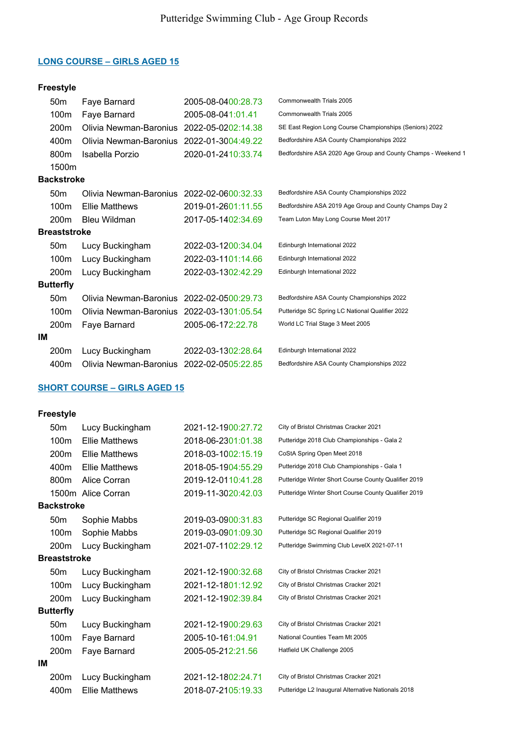# Freestyle

|              | 50 <sub>m</sub>  | Faye Barnard                              | 2005-08-0400:28.73 | Commonwealth Trials 2005                                      |
|--------------|------------------|-------------------------------------------|--------------------|---------------------------------------------------------------|
|              | 100m             | Faye Barnard                              | 2005-08-041:01.41  | Commonwealth Trials 2005                                      |
|              | 200 <sub>m</sub> | Olivia Newman-Baronius                    | 2022-05-0202:14.38 | SE East Region Long Course Championships (Seniors) 2022       |
|              | 400m             | Olivia Newman-Baronius                    | 2022-01-3004:49.22 | Bedfordshire ASA County Championships 2022                    |
|              | 800m             | Isabella Porzio                           | 2020-01-2410:33.74 | Bedfordshire ASA 2020 Age Group and County Champs - Weekend 1 |
|              | 1500m            |                                           |                    |                                                               |
|              | Backstroke       |                                           |                    |                                                               |
|              | 50 <sub>m</sub>  | Olivia Newman-Baronius                    | 2022-02-0600:32.33 | Bedfordshire ASA County Championships 2022                    |
|              | 100m             | <b>Ellie Matthews</b>                     | 2019-01-2601:11.55 | Bedfordshire ASA 2019 Age Group and County Champs Day 2       |
|              | 200 <sub>m</sub> | <b>Bleu Wildman</b>                       | 2017-05-1402:34.69 | Team Luton May Long Course Meet 2017                          |
| Breaststroke |                  |                                           |                    |                                                               |
|              | 50 <sub>m</sub>  | Lucy Buckingham                           | 2022-03-1200:34.04 | Edinburgh International 2022                                  |
|              | 100m             | Lucy Buckingham                           | 2022-03-1101:14.66 | Edinburgh International 2022                                  |
|              | 200m             | Lucy Buckingham                           | 2022-03-1302:42.29 | Edinburgh International 2022                                  |
|              | <b>Butterfly</b> |                                           |                    |                                                               |
|              | 50 <sub>m</sub>  | Olivia Newman-Baronius                    | 2022-02-0500:29.73 | Bedfordshire ASA County Championships 2022                    |
|              | 100m             | Olivia Newman-Baronius 2022-03-1301:05.54 |                    | Putteridge SC Spring LC National Qualifier 2022               |
|              | 200 <sub>m</sub> | Faye Barnard                              | 2005-06-172:22.78  | World LC Trial Stage 3 Meet 2005                              |
| ΙM           |                  |                                           |                    |                                                               |
|              | 200m             | Lucy Buckingham                           | 2022-03-1302:28.64 | Edinburgh International 2022                                  |
|              | 400m             | Olivia Newman-Baronius 2022-02-0505:22.85 |                    | Bedfordshire ASA County Championships 2022                    |

# SHORT COURSE – GIRLS AGED 15

|    | 50 <sub>m</sub>     | Lucy Buckingham       | 2021-12-1900:27.72 | City of Bristol Christmas Cracker 2021               |
|----|---------------------|-----------------------|--------------------|------------------------------------------------------|
|    | 100 <sub>m</sub>    | <b>Ellie Matthews</b> | 2018-06-2301:01.38 | Putteridge 2018 Club Championships - Gala 2          |
|    | 200 <sub>m</sub>    | <b>Ellie Matthews</b> | 2018-03-1002:15.19 | CoStA Spring Open Meet 2018                          |
|    | 400m                | <b>Ellie Matthews</b> | 2018-05-1904:55.29 | Putteridge 2018 Club Championships - Gala 1          |
|    | 800m                | Alice Corran          | 2019-12-0110:41.28 | Putteridge Winter Short Course County Qualifier 2019 |
|    |                     | 1500m Alice Corran    | 2019-11-3020:42.03 | Putteridge Winter Short Course County Qualifier 2019 |
|    | <b>Backstroke</b>   |                       |                    |                                                      |
|    | 50 <sub>m</sub>     | Sophie Mabbs          | 2019-03-0900:31.83 | Putteridge SC Regional Qualifier 2019                |
|    | 100m                | Sophie Mabbs          | 2019-03-0901:09.30 | Putteridge SC Regional Qualifier 2019                |
|    | 200m                | Lucy Buckingham       | 2021-07-1102:29.12 | Putteridge Swimming Club LevelX 2021-07-11           |
|    | <b>Breaststroke</b> |                       |                    |                                                      |
|    | 50 <sub>m</sub>     | Lucy Buckingham       | 2021-12-1900:32.68 | City of Bristol Christmas Cracker 2021               |
|    | 100 <sub>m</sub>    | Lucy Buckingham       | 2021-12-1801:12.92 | City of Bristol Christmas Cracker 2021               |
|    | 200m                | Lucy Buckingham       | 2021-12-1902:39.84 | City of Bristol Christmas Cracker 2021               |
|    | <b>Butterfly</b>    |                       |                    |                                                      |
|    | 50 <sub>m</sub>     | Lucy Buckingham       | 2021-12-1900:29.63 | City of Bristol Christmas Cracker 2021               |
|    | 100m                | Faye Barnard          | 2005-10-161:04.91  | National Counties Team Mt 2005                       |
|    | 200m                | Faye Barnard          | 2005-05-212:21.56  | Hatfield UK Challenge 2005                           |
| ΙM |                     |                       |                    |                                                      |
|    | 200m                | Lucy Buckingham       | 2021-12-1802:24.71 | City of Bristol Christmas Cracker 2021               |
|    | 400m                | <b>Ellie Matthews</b> | 2018-07-2105:19.33 | Putteridge L2 Inaugural Alternative Nationals 2018   |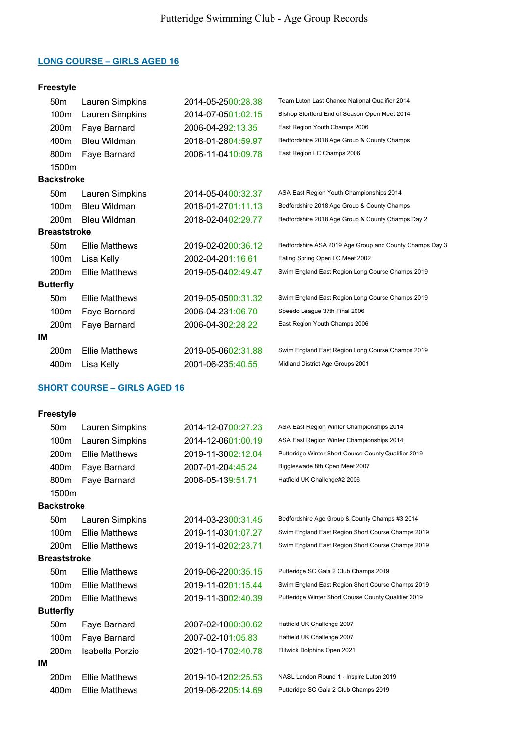### Freestyle

|    | 50 <sub>m</sub>     | Lauren Simpkins       | 2014-05-2500:28.38 | Team Luton Last Chance National Qualifier 2014          |
|----|---------------------|-----------------------|--------------------|---------------------------------------------------------|
|    | 100m                | Lauren Simpkins       | 2014-07-0501:02.15 | Bishop Stortford End of Season Open Meet 2014           |
|    | 200 <sub>m</sub>    | Faye Barnard          | 2006-04-292:13.35  | East Region Youth Champs 2006                           |
|    | 400m                | Bleu Wildman          | 2018-01-2804:59.97 | Bedfordshire 2018 Age Group & County Champs             |
|    | 800 <sub>m</sub>    | Faye Barnard          | 2006-11-0410:09.78 | East Region LC Champs 2006                              |
|    | 1500m               |                       |                    |                                                         |
|    | <b>Backstroke</b>   |                       |                    |                                                         |
|    | 50 <sub>m</sub>     | Lauren Simpkins       | 2014-05-0400:32.37 | ASA East Region Youth Championships 2014                |
|    | 100 <sub>m</sub>    | <b>Bleu Wildman</b>   | 2018-01-2701:11.13 | Bedfordshire 2018 Age Group & County Champs             |
|    | 200 <sub>m</sub>    | <b>Bleu Wildman</b>   | 2018-02-0402:29.77 | Bedfordshire 2018 Age Group & County Champs Day 2       |
|    | <b>Breaststroke</b> |                       |                    |                                                         |
|    | 50 <sub>m</sub>     | <b>Ellie Matthews</b> | 2019-02-0200:36.12 | Bedfordshire ASA 2019 Age Group and County Champs Day 3 |
|    | 100 <sub>m</sub>    | Lisa Kelly            | 2002-04-201:16.61  | Ealing Spring Open LC Meet 2002                         |
|    | 200 <sub>m</sub>    | <b>Ellie Matthews</b> | 2019-05-0402:49.47 | Swim England East Region Long Course Champs 2019        |
|    | <b>Butterfly</b>    |                       |                    |                                                         |
|    | 50 <sub>m</sub>     | <b>Ellie Matthews</b> | 2019-05-0500:31.32 | Swim England East Region Long Course Champs 2019        |
|    | 100m                | Faye Barnard          | 2006-04-231:06.70  | Speedo League 37th Final 2006                           |
|    | 200 <sub>m</sub>    | Faye Barnard          | 2006-04-302:28.22  | East Region Youth Champs 2006                           |
| ΙM |                     |                       |                    |                                                         |
|    | 200 <sub>m</sub>    | <b>Ellie Matthews</b> | 2019-05-0602:31.88 | Swim England East Region Long Course Champs 2019        |
|    | 400m                | Lisa Kelly            | 2001-06-235:40.55  | Midland District Age Groups 2001                        |
|    |                     |                       |                    |                                                         |

### SHORT COURSE – GIRLS AGED 16

| 50 <sub>m</sub>  | Lauren Simpkins        | 2014-12-0700:27.23         | ASA East Region Winter Championships 2014            |
|------------------|------------------------|----------------------------|------------------------------------------------------|
| 100m             | Lauren Simpkins        | 2014-12-0601:00.19         | ASA East Region Winter Championships 2014            |
| 200 <sub>m</sub> | <b>Ellie Matthews</b>  | 2019-11-3002:12.04         | Putteridge Winter Short Course County Qualifier 2019 |
| 400m             | Faye Barnard           | 2007-01-204:45.24          | Biggleswade 8th Open Meet 2007                       |
| 800m             | Faye Barnard           | 2006-05-139:51.71          | Hatfield UK Challenge#2 2006                         |
| 1500m            |                        |                            |                                                      |
|                  |                        |                            |                                                      |
| 50 <sub>m</sub>  | Lauren Simpkins        | 2014-03-2300:31.45         | Bedfordshire Age Group & County Champs #3 2014       |
| 100 <sub>m</sub> | <b>Ellie Matthews</b>  | 2019-11-0301:07.27         | Swim England East Region Short Course Champs 2019    |
| 200 <sub>m</sub> | <b>Ellie Matthews</b>  | 2019-11-0202:23.71         | Swim England East Region Short Course Champs 2019    |
|                  |                        |                            |                                                      |
| 50 <sub>m</sub>  | <b>Ellie Matthews</b>  | 2019-06-2200:35.15         | Putteridge SC Gala 2 Club Champs 2019                |
| 100m             | <b>Ellie Matthews</b>  | 2019-11-0201:15.44         | Swim England East Region Short Course Champs 2019    |
| 200 <sub>m</sub> | <b>Ellie Matthews</b>  | 2019-11-3002:40.39         | Putteridge Winter Short Course County Qualifier 2019 |
|                  |                        |                            |                                                      |
| 50 <sub>m</sub>  | Faye Barnard           | 2007-02-1000:30.62         | Hatfield UK Challenge 2007                           |
| 100m             | Faye Barnard           | 2007-02-101:05.83          | Hatfield UK Challenge 2007                           |
| 200m             | Isabella Porzio        | 2021-10-1702:40.78         | Flitwick Dolphins Open 2021                          |
|                  |                        |                            |                                                      |
| 200 <sub>m</sub> | <b>Ellie Matthews</b>  | 2019-10-1202:25.53         | NASL London Round 1 - Inspire Luton 2019             |
| 400m             | <b>Ellie Matthews</b>  | 2019-06-2205:14.69         | Putteridge SC Gala 2 Club Champs 2019                |
|                  | <b>Butterfly</b><br>IM | Backstroke<br>Breaststroke |                                                      |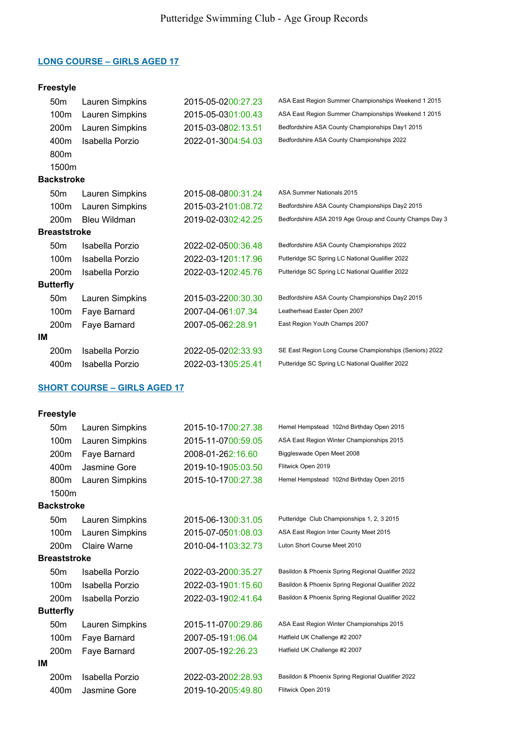# Freestyle

|                     | 50 <sub>m</sub>   | Lauren Simpkins | 2015-05-0200:27.23 | ASA East Region Summer Championships Weekend 1 2015     |
|---------------------|-------------------|-----------------|--------------------|---------------------------------------------------------|
|                     | 100m              | Lauren Simpkins | 2015-05-0301:00.43 | ASA East Region Summer Championships Weekend 1 2015     |
|                     | 200m              | Lauren Simpkins | 2015-03-0802:13.51 | Bedfordshire ASA County Championships Day1 2015         |
|                     | 400m              | Isabella Porzio | 2022-01-3004:54.03 | Bedfordshire ASA County Championships 2022              |
|                     | 800m              |                 |                    |                                                         |
|                     | 1500m             |                 |                    |                                                         |
|                     | <b>Backstroke</b> |                 |                    |                                                         |
|                     | 50 <sub>m</sub>   | Lauren Simpkins | 2015-08-0800:31.24 | ASA Summer Nationals 2015                               |
|                     | 100m              | Lauren Simpkins | 2015-03-2101:08.72 | Bedfordshire ASA County Championships Day2 2015         |
|                     | 200m              | Bleu Wildman    | 2019-02-0302:42.25 | Bedfordshire ASA 2019 Age Group and County Champs Day 3 |
| <b>Breaststroke</b> |                   |                 |                    |                                                         |
|                     | 50 <sub>m</sub>   | Isabella Porzio | 2022-02-0500:36.48 | Bedfordshire ASA County Championships 2022              |
|                     | 100m              | Isabella Porzio | 2022-03-1201:17.96 | Putteridge SC Spring LC National Qualifier 2022         |
|                     | 200 <sub>m</sub>  | Isabella Porzio | 2022-03-1202:45.76 | Putteridge SC Spring LC National Qualifier 2022         |
|                     | <b>Butterfly</b>  |                 |                    |                                                         |
|                     | 50 <sub>m</sub>   | Lauren Simpkins | 2015-03-2200:30.30 | Bedfordshire ASA County Championships Day2 2015         |
|                     | 100m              | Faye Barnard    | 2007-04-061:07.34  | Leatherhead Easter Open 2007                            |
|                     | 200m              | Faye Barnard    | 2007-05-062:28.91  | East Region Youth Champs 2007                           |
| ΙM                  |                   |                 |                    |                                                         |
|                     | 200m              | Isabella Porzio | 2022-05-0202:33.93 | SE East Region Long Course Championships (Seniors) 2022 |
|                     | 400m              | Isabella Porzio | 2022-03-1305:25.41 | Putteridge SC Spring LC National Qualifier 2022         |

# SHORT COURSE – GIRLS AGED 17

|    | 50 <sub>m</sub>     | Lauren Simpkins | 2015-10-1700:27.38 | Hemel Hempstead 102nd Birthday Open 2015          |
|----|---------------------|-----------------|--------------------|---------------------------------------------------|
|    | 100m                | Lauren Simpkins | 2015-11-0700:59.05 | ASA East Region Winter Championships 2015         |
|    | 200m                | Faye Barnard    | 2008-01-262:16.60  | Biggleswade Open Meet 2008                        |
|    | 400m                | Jasmine Gore    | 2019-10-1905:03.50 | Flitwick Open 2019                                |
|    | 800m                | Lauren Simpkins | 2015-10-1700:27.38 | Hemel Hempstead 102nd Birthday Open 2015          |
|    | 1500m               |                 |                    |                                                   |
|    | <b>Backstroke</b>   |                 |                    |                                                   |
|    | 50 <sub>m</sub>     | Lauren Simpkins | 2015-06-1300:31.05 | Putteridge Club Championships 1, 2, 3 2015        |
|    | 100m                | Lauren Simpkins | 2015-07-0501:08.03 | ASA East Region Inter County Meet 2015            |
|    | 200 <sub>m</sub>    | Claire Warne    | 2010-04-1103:32.73 | Luton Short Course Meet 2010                      |
|    | <b>Breaststroke</b> |                 |                    |                                                   |
|    | 50 <sub>m</sub>     | Isabella Porzio | 2022-03-2000:35.27 | Basildon & Phoenix Spring Regional Qualifier 2022 |
|    | 100 <sub>m</sub>    | Isabella Porzio | 2022-03-1901:15.60 | Basildon & Phoenix Spring Regional Qualifier 2022 |
|    | 200 <sub>m</sub>    | Isabella Porzio | 2022-03-1902:41.64 | Basildon & Phoenix Spring Regional Qualifier 2022 |
|    | <b>Butterfly</b>    |                 |                    |                                                   |
|    | 50 <sub>m</sub>     | Lauren Simpkins | 2015-11-0700:29.86 | ASA East Region Winter Championships 2015         |
|    | 100m                | Faye Barnard    | 2007-05-191:06.04  | Hatfield UK Challenge #2 2007                     |
|    | 200 <sub>m</sub>    | Faye Barnard    | 2007-05-192:26.23  | Hatfield UK Challenge #2 2007                     |
| IΜ |                     |                 |                    |                                                   |
|    | 200 <sub>m</sub>    | Isabella Porzio | 2022-03-2002:28.93 | Basildon & Phoenix Spring Regional Qualifier 2022 |
|    | 400m                | Jasmine Gore    | 2019-10-2005:49.80 | Flitwick Open 2019                                |
|    |                     |                 |                    |                                                   |